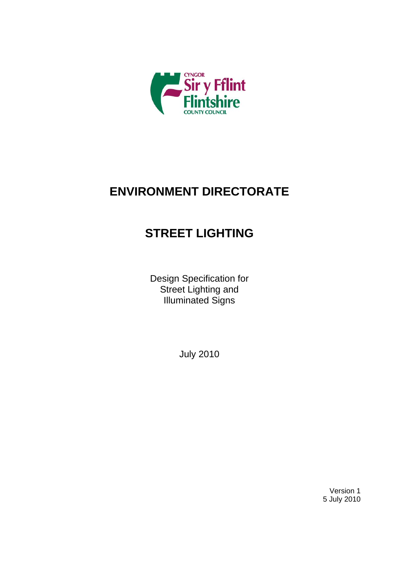

# **ENVIRONMENT DIRECTORATE**

# **STREET LIGHTING**

Design Specification for Street Lighting and Illuminated Signs

July 2010

Version 1 5 July 2010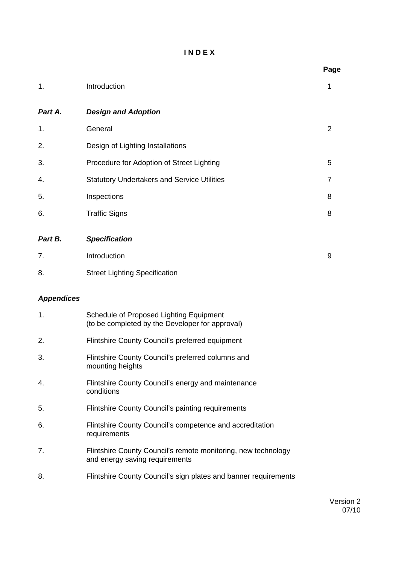### **I N D E X**

|                   |                                                                                                 | Page           |
|-------------------|-------------------------------------------------------------------------------------------------|----------------|
| 1.                | Introduction                                                                                    | 1              |
| Part A.           | <b>Design and Adoption</b>                                                                      |                |
| 1.                | General                                                                                         | $\overline{2}$ |
| 2.                | Design of Lighting Installations                                                                |                |
| 3.                | Procedure for Adoption of Street Lighting                                                       | 5              |
| 4.                | <b>Statutory Undertakers and Service Utilities</b>                                              | 7              |
| 5.                | Inspections                                                                                     | 8              |
| 6.                | <b>Traffic Signs</b>                                                                            | 8              |
| Part B.           | <b>Specification</b>                                                                            |                |
| 7.                | Introduction                                                                                    | 9              |
| 8.                | <b>Street Lighting Specification</b>                                                            |                |
| <b>Appendices</b> |                                                                                                 |                |
| 1.                | Schedule of Proposed Lighting Equipment<br>(to be completed by the Developer for approval)      |                |
| 2.                | Flintshire County Council's preferred equipment                                                 |                |
| 3.                | Flintshire County Council's preferred columns and<br>mounting heights                           |                |
| 4.                | Flintshire County Council's energy and maintenance<br>conditions                                |                |
| 5.                | Flintshire County Council's painting requirements                                               |                |
| 6.                | Flintshire County Council's competence and accreditation<br>requirements                        |                |
| 7.                | Flintshire County Council's remote monitoring, new technology<br>and energy saving requirements |                |
| 8.                | Flintshire County Council's sign plates and banner requirements                                 |                |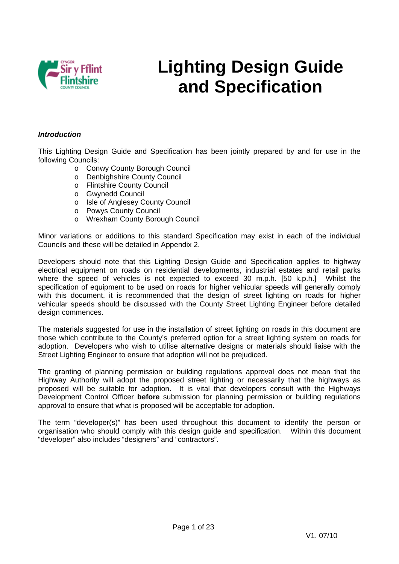

# **Lighting Design Guide and Specification**

### *Introduction*

This Lighting Design Guide and Specification has been jointly prepared by and for use in the following Councils:

- o Conwy County Borough Council
- o Denbighshire County Council
- o Flintshire County Council
- o Gwynedd Council
- o Isle of Anglesey County Council
- o Powys County Council
- o Wrexham County Borough Council

Minor variations or additions to this standard Specification may exist in each of the individual Councils and these will be detailed in Appendix 2.

Developers should note that this Lighting Design Guide and Specification applies to highway electrical equipment on roads on residential developments, industrial estates and retail parks where the speed of vehicles is not expected to exceed 30 m.p.h. [50 k.p.h.] Whilst the specification of equipment to be used on roads for higher vehicular speeds will generally comply with this document, it is recommended that the design of street lighting on roads for higher vehicular speeds should be discussed with the County Street Lighting Engineer before detailed design commences.

The materials suggested for use in the installation of street lighting on roads in this document are those which contribute to the County's preferred option for a street lighting system on roads for adoption. Developers who wish to utilise alternative designs or materials should liaise with the Street Lighting Engineer to ensure that adoption will not be prejudiced.

The granting of planning permission or building regulations approval does not mean that the Highway Authority will adopt the proposed street lighting or necessarily that the highways as proposed will be suitable for adoption. It is vital that developers consult with the Highways Development Control Officer **before** submission for planning permission or building regulations approval to ensure that what is proposed will be acceptable for adoption.

The term "developer(s)" has been used throughout this document to identify the person or organisation who should comply with this design guide and specification. Within this document "developer" also includes "designers" and "contractors".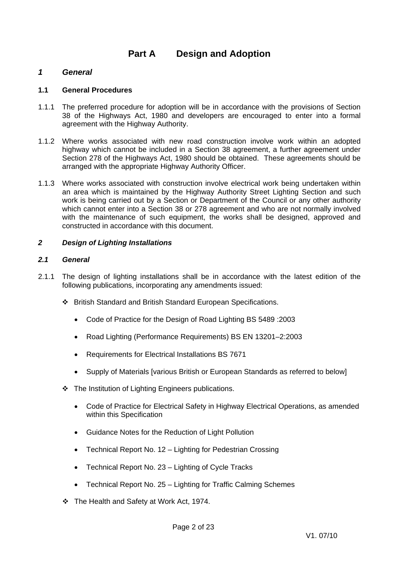### **Part A Design and Adoption**

### *1 General*

### **1.1 General Procedures**

- 1.1.1 The preferred procedure for adoption will be in accordance with the provisions of Section 38 of the Highways Act, 1980 and developers are encouraged to enter into a formal agreement with the Highway Authority.
- 1.1.2 Where works associated with new road construction involve work within an adopted highway which cannot be included in a Section 38 agreement, a further agreement under Section 278 of the Highways Act, 1980 should be obtained. These agreements should be arranged with the appropriate Highway Authority Officer.
- 1.1.3 Where works associated with construction involve electrical work being undertaken within an area which is maintained by the Highway Authority Street Lighting Section and such work is being carried out by a Section or Department of the Council or any other authority which cannot enter into a Section 38 or 278 agreement and who are not normally involved with the maintenance of such equipment, the works shall be designed, approved and constructed in accordance with this document.

### *2 Design of Lighting Installations*

### *2.1 General*

- 2.1.1 The design of lighting installations shall be in accordance with the latest edition of the following publications, incorporating any amendments issued:
	- British Standard and British Standard European Specifications.
		- Code of Practice for the Design of Road Lighting BS 5489 :2003
		- Road Lighting (Performance Requirements) BS EN 13201–2:2003
		- Requirements for Electrical Installations BS 7671
		- Supply of Materials [various British or European Standards as referred to below]
	- $\cdot$  The Institution of Lighting Engineers publications.
		- Code of Practice for Electrical Safety in Highway Electrical Operations, as amended within this Specification
		- Guidance Notes for the Reduction of Light Pollution
		- Technical Report No. 12 Lighting for Pedestrian Crossing
		- Technical Report No. 23 Lighting of Cycle Tracks
		- Technical Report No. 25 Lighting for Traffic Calming Schemes
	- \* The Health and Safety at Work Act, 1974.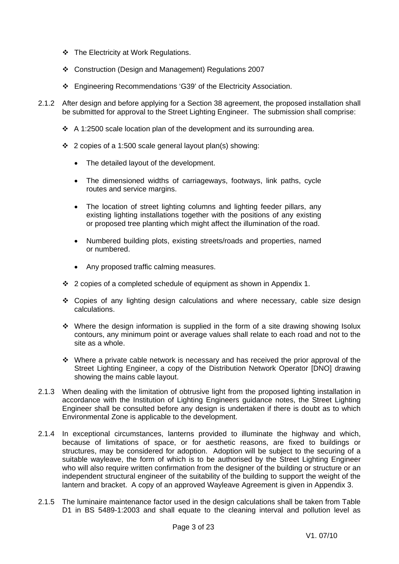- $\div$  The Electricity at Work Regulations.
- Construction (Design and Management) Regulations 2007
- Engineering Recommendations 'G39' of the Electricity Association.
- 2.1.2 After design and before applying for a Section 38 agreement, the proposed installation shall be submitted for approval to the Street Lighting Engineer. The submission shall comprise:
	- $\div$  A 1:2500 scale location plan of the development and its surrounding area.
	- 2 copies of a 1:500 scale general layout plan(s) showing:
		- The detailed layout of the development.
		- The dimensioned widths of carriageways, footways, link paths, cycle routes and service margins.
		- The location of street lighting columns and lighting feeder pillars, any existing lighting installations together with the positions of any existing or proposed tree planting which might affect the illumination of the road.
		- Numbered building plots, existing streets/roads and properties, named or numbered.
		- Any proposed traffic calming measures.
	- $\div$  2 copies of a completed schedule of equipment as shown in Appendix 1.
	- $\div$  Copies of any lighting design calculations and where necessary, cable size design calculations.
	- $\cdot$  Where the design information is supplied in the form of a site drawing showing Isolux contours, any minimum point or average values shall relate to each road and not to the site as a whole.
	- $\cdot$  Where a private cable network is necessary and has received the prior approval of the Street Lighting Engineer, a copy of the Distribution Network Operator [DNO] drawing showing the mains cable layout.
- 2.1.3 When dealing with the limitation of obtrusive light from the proposed lighting installation in accordance with the Institution of Lighting Engineers guidance notes, the Street Lighting Engineer shall be consulted before any design is undertaken if there is doubt as to which Environmental Zone is applicable to the development.
- 2.1.4 In exceptional circumstances, lanterns provided to illuminate the highway and which, because of limitations of space, or for aesthetic reasons, are fixed to buildings or structures, may be considered for adoption. Adoption will be subject to the securing of a suitable wayleave, the form of which is to be authorised by the Street Lighting Engineer who will also require written confirmation from the designer of the building or structure or an independent structural engineer of the suitability of the building to support the weight of the lantern and bracket. A copy of an approved Wayleave Agreement is given in Appendix 3.
- 2.1.5 The luminaire maintenance factor used in the design calculations shall be taken from Table D1 in BS 5489-1:2003 and shall equate to the cleaning interval and pollution level as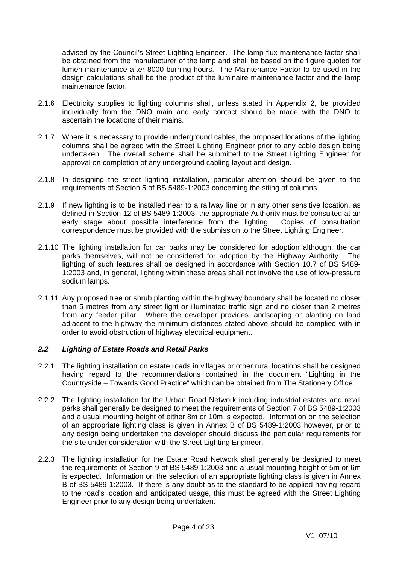advised by the Council's Street Lighting Engineer. The lamp flux maintenance factor shall be obtained from the manufacturer of the lamp and shall be based on the figure quoted for lumen maintenance after 8000 burning hours. The Maintenance Factor to be used in the design calculations shall be the product of the luminaire maintenance factor and the lamp maintenance factor.

- 2.1.6 Electricity supplies to lighting columns shall, unless stated in Appendix 2, be provided individually from the DNO main and early contact should be made with the DNO to ascertain the locations of their mains.
- 2.1.7 Where it is necessary to provide underground cables, the proposed locations of the lighting columns shall be agreed with the Street Lighting Engineer prior to any cable design being undertaken. The overall scheme shall be submitted to the Street Lighting Engineer for approval on completion of any underground cabling layout and design.
- 2.1.8 In designing the street lighting installation, particular attention should be given to the requirements of Section 5 of BS 5489-1:2003 concerning the siting of columns.
- 2.1.9 If new lighting is to be installed near to a railway line or in any other sensitive location, as defined in Section 12 of BS 5489-1:2003, the appropriate Authority must be consulted at an early stage about possible interference from the lighting. Copies of consultation correspondence must be provided with the submission to the Street Lighting Engineer.
- 2.1.10 The lighting installation for car parks may be considered for adoption although, the car parks themselves, will not be considered for adoption by the Highway Authority. The lighting of such features shall be designed in accordance with Section 10.7 of BS 5489- 1:2003 and, in general, lighting within these areas shall not involve the use of low-pressure sodium lamps.
- 2.1.11 Any proposed tree or shrub planting within the highway boundary shall be located no closer than 5 metres from any street light or illuminated traffic sign and no closer than 2 metres from any feeder pillar. Where the developer provides landscaping or planting on land adjacent to the highway the minimum distances stated above should be complied with in order to avoid obstruction of highway electrical equipment.

### *2.2 Lighting of Estate Roads and Retail Parks*

- 2.2.1 The lighting installation on estate roads in villages or other rural locations shall be designed having regard to the recommendations contained in the document "Lighting in the Countryside – Towards Good Practice" which can be obtained from The Stationery Office.
- 2.2.2 The lighting installation for the Urban Road Network including industrial estates and retail parks shall generally be designed to meet the requirements of Section 7 of BS 5489-1:2003 and a usual mounting height of either 8m or 10m is expected. Information on the selection of an appropriate lighting class is given in Annex B of BS 5489-1:2003 however, prior to any design being undertaken the developer should discuss the particular requirements for the site under consideration with the Street Lighting Engineer.
- 2.2.3 The lighting installation for the Estate Road Network shall generally be designed to meet the requirements of Section 9 of BS 5489-1:2003 and a usual mounting height of 5m or 6m is expected. Information on the selection of an appropriate lighting class is given in Annex B of BS 5489-1:2003. If there is any doubt as to the standard to be applied having regard to the road's location and anticipated usage, this must be agreed with the Street Lighting Engineer prior to any design being undertaken.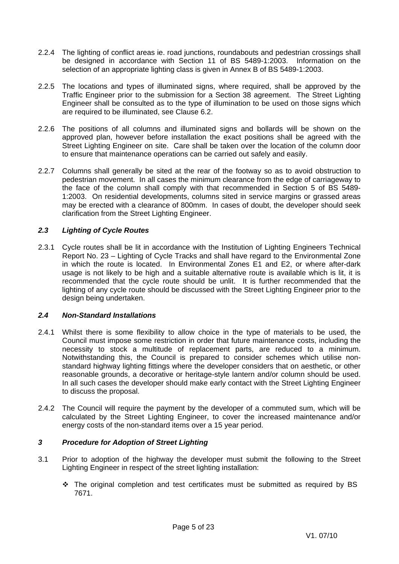- 2.2.4 The lighting of conflict areas ie. road junctions, roundabouts and pedestrian crossings shall be designed in accordance with Section 11 of BS 5489-1:2003. Information on the selection of an appropriate lighting class is given in Annex B of BS 5489-1:2003.
- 2.2.5 The locations and types of illuminated signs, where required, shall be approved by the Traffic Engineer prior to the submission for a Section 38 agreement. The Street Lighting Engineer shall be consulted as to the type of illumination to be used on those signs which are required to be illuminated, see Clause 6.2.
- 2.2.6 The positions of all columns and illuminated signs and bollards will be shown on the approved plan, however before installation the exact positions shall be agreed with the Street Lighting Engineer on site. Care shall be taken over the location of the column door to ensure that maintenance operations can be carried out safely and easily.
- 2.2.7 Columns shall generally be sited at the rear of the footway so as to avoid obstruction to pedestrian movement. In all cases the minimum clearance from the edge of carriageway to the face of the column shall comply with that recommended in Section 5 of BS 5489- 1:2003. On residential developments, columns sited in service margins or grassed areas may be erected with a clearance of 800mm. In cases of doubt, the developer should seek clarification from the Street Lighting Engineer.

### *2.3 Lighting of Cycle Routes*

2.3.1 Cycle routes shall be lit in accordance with the Institution of Lighting Engineers Technical Report No. 23 – Lighting of Cycle Tracks and shall have regard to the Environmental Zone in which the route is located. In Environmental Zones E1 and E2, or where after-dark usage is not likely to be high and a suitable alternative route is available which is lit, it is recommended that the cycle route should be unlit. It is further recommended that the lighting of any cycle route should be discussed with the Street Lighting Engineer prior to the design being undertaken.

### *2.4 Non-Standard Installations*

- 2.4.1 Whilst there is some flexibility to allow choice in the type of materials to be used, the Council must impose some restriction in order that future maintenance costs, including the necessity to stock a multitude of replacement parts, are reduced to a minimum. Notwithstanding this, the Council is prepared to consider schemes which utilise nonstandard highway lighting fittings where the developer considers that on aesthetic, or other reasonable grounds, a decorative or heritage-style lantern and/or column should be used. In all such cases the developer should make early contact with the Street Lighting Engineer to discuss the proposal.
- 2.4.2 The Council will require the payment by the developer of a commuted sum, which will be calculated by the Street Lighting Engineer, to cover the increased maintenance and/or energy costs of the non-standard items over a 15 year period.

### *3 Procedure for Adoption of Street Lighting*

- 3.1 Prior to adoption of the highway the developer must submit the following to the Street Lighting Engineer in respect of the street lighting installation:
	- $\div$  The original completion and test certificates must be submitted as required by BS 7671.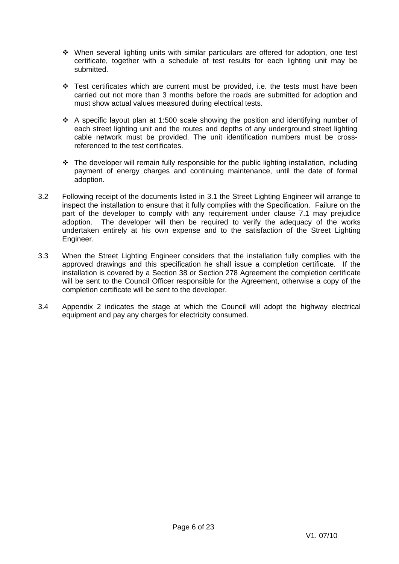- When several lighting units with similar particulars are offered for adoption, one test certificate, together with a schedule of test results for each lighting unit may be submitted.
- $\div$  Test certificates which are current must be provided, i.e. the tests must have been carried out not more than 3 months before the roads are submitted for adoption and must show actual values measured during electrical tests.
- A specific layout plan at 1:500 scale showing the position and identifying number of each street lighting unit and the routes and depths of any underground street lighting cable network must be provided. The unit identification numbers must be crossreferenced to the test certificates.
- $\cdot$  The developer will remain fully responsible for the public lighting installation, including payment of energy charges and continuing maintenance, until the date of formal adoption.
- 3.2 Following receipt of the documents listed in 3.1 the Street Lighting Engineer will arrange to inspect the installation to ensure that it fully complies with the Specification. Failure on the part of the developer to comply with any requirement under clause 7.1 may prejudice adoption. The developer will then be required to verify the adequacy of the works undertaken entirely at his own expense and to the satisfaction of the Street Lighting Engineer.
- 3.3 When the Street Lighting Engineer considers that the installation fully complies with the approved drawings and this specification he shall issue a completion certificate. If the installation is covered by a Section 38 or Section 278 Agreement the completion certificate will be sent to the Council Officer responsible for the Agreement, otherwise a copy of the completion certificate will be sent to the developer.
- 3.4 Appendix 2 indicates the stage at which the Council will adopt the highway electrical equipment and pay any charges for electricity consumed.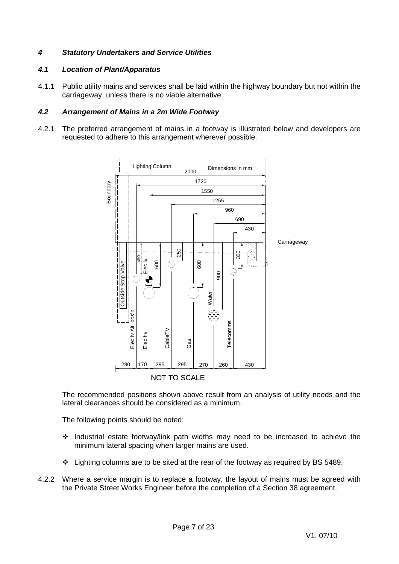### *4 Statutory Undertakers and Service Utilities*

### *4.1 Location of Plant/Apparatus*

4.1.1 Public utility mains and services shall be laid within the highway boundary but not within the carriageway, unless there is no viable alternative.

### *4.2 Arrangement of Mains in a 2m Wide Footway*

4.2.1 The preferred arrangement of mains in a footway is illustrated below and developers are requested to adhere to this arrangement wherever possible.



The recommended positions shown above result from an analysis of utility needs and the lateral clearances should be considered as a minimum.

The following points should be noted:

- Industrial estate footway/link path widths may need to be increased to achieve the minimum lateral spacing when larger mains are used.
- Lighting columns are to be sited at the rear of the footway as required by BS 5489.
- 4.2.2 Where a service margin is to replace a footway, the layout of mains must be agreed with the Private Street Works Engineer before the completion of a Section 38 agreement.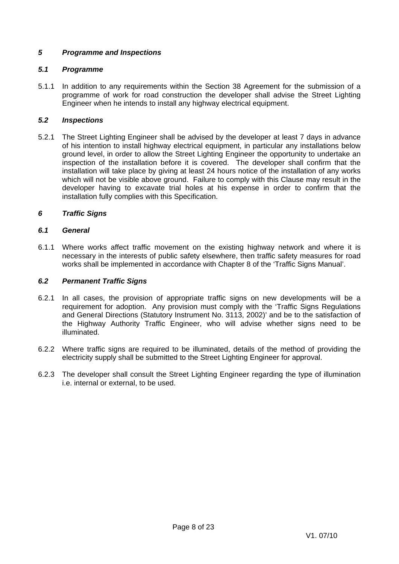### *5 Programme and Inspections*

### *5.1 Programme*

5.1.1 In addition to any requirements within the Section 38 Agreement for the submission of a programme of work for road construction the developer shall advise the Street Lighting Engineer when he intends to install any highway electrical equipment.

### *5.2 Inspections*

5.2.1 The Street Lighting Engineer shall be advised by the developer at least 7 days in advance of his intention to install highway electrical equipment, in particular any installations below ground level, in order to allow the Street Lighting Engineer the opportunity to undertake an inspection of the installation before it is covered. The developer shall confirm that the installation will take place by giving at least 24 hours notice of the installation of any works which will not be visible above ground. Failure to comply with this Clause may result in the developer having to excavate trial holes at his expense in order to confirm that the installation fully complies with this Specification.

### *6 Traffic Signs*

### *6.1 General*

6.1.1 Where works affect traffic movement on the existing highway network and where it is necessary in the interests of public safety elsewhere, then traffic safety measures for road works shall be implemented in accordance with Chapter 8 of the 'Traffic Signs Manual'.

### *6.2 Permanent Traffic Signs*

- 6.2.1 In all cases, the provision of appropriate traffic signs on new developments will be a requirement for adoption. Any provision must comply with the 'Traffic Signs Regulations and General Directions (Statutory Instrument No. 3113, 2002)' and be to the satisfaction of the Highway Authority Traffic Engineer, who will advise whether signs need to be illuminated.
- 6.2.2 Where traffic signs are required to be illuminated, details of the method of providing the electricity supply shall be submitted to the Street Lighting Engineer for approval.
- 6.2.3 The developer shall consult the Street Lighting Engineer regarding the type of illumination i.e. internal or external, to be used.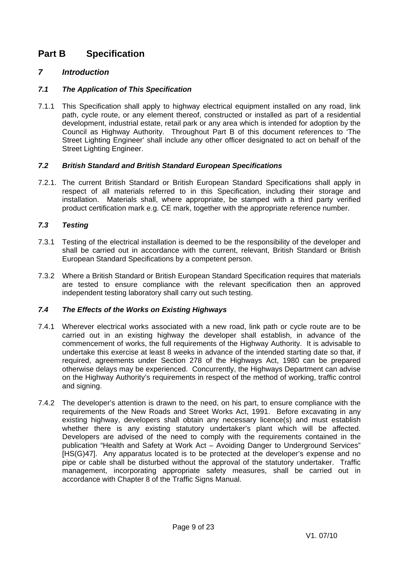### **Part B Specification**

### *7 Introduction*

### *7.1 The Application of This Specification*

7.1.1 This Specification shall apply to highway electrical equipment installed on any road, link path, cycle route, or any element thereof, constructed or installed as part of a residential development, industrial estate, retail park or any area which is intended for adoption by the Council as Highway Authority. Throughout Part B of this document references to 'The Street Lighting Engineer' shall include any other officer designated to act on behalf of the Street Lighting Engineer.

### *7.2 British Standard and British Standard European Specifications*

7.2.1. The current British Standard or British European Standard Specifications shall apply in respect of all materials referred to in this Specification, including their storage and installation. Materials shall, where appropriate, be stamped with a third party verified product certification mark e.g. CE mark, together with the appropriate reference number.

### *7.3 Testing*

- 7.3.1 Testing of the electrical installation is deemed to be the responsibility of the developer and shall be carried out in accordance with the current, relevant, British Standard or British European Standard Specifications by a competent person.
- 7.3.2 Where a British Standard or British European Standard Specification requires that materials are tested to ensure compliance with the relevant specification then an approved independent testing laboratory shall carry out such testing.

### *7.4 The Effects of the Works on Existing Highways*

- 7.4.1 Wherever electrical works associated with a new road, link path or cycle route are to be carried out in an existing highway the developer shall establish, in advance of the commencement of works, the full requirements of the Highway Authority. It is advisable to undertake this exercise at least 8 weeks in advance of the intended starting date so that, if required, agreements under Section 278 of the Highways Act, 1980 can be prepared otherwise delays may be experienced. Concurrently, the Highways Department can advise on the Highway Authority's requirements in respect of the method of working, traffic control and signing.
- 7.4.2 The developer's attention is drawn to the need, on his part, to ensure compliance with the requirements of the New Roads and Street Works Act, 1991. Before excavating in any existing highway, developers shall obtain any necessary licence(s) and must establish whether there is any existing statutory undertaker's plant which will be affected. Developers are advised of the need to comply with the requirements contained in the publication "Health and Safety at Work Act – Avoiding Danger to Underground Services" [HS(G)47]. Any apparatus located is to be protected at the developer's expense and no pipe or cable shall be disturbed without the approval of the statutory undertaker. Traffic management, incorporating appropriate safety measures, shall be carried out in accordance with Chapter 8 of the Traffic Signs Manual.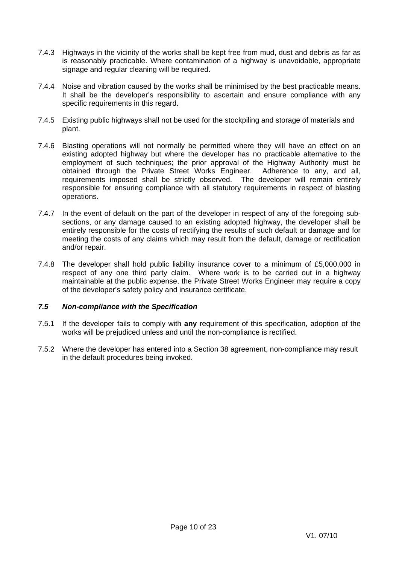- 7.4.3 Highways in the vicinity of the works shall be kept free from mud, dust and debris as far as is reasonably practicable. Where contamination of a highway is unavoidable, appropriate signage and regular cleaning will be required.
- 7.4.4 Noise and vibration caused by the works shall be minimised by the best practicable means. It shall be the developer's responsibility to ascertain and ensure compliance with any specific requirements in this regard.
- 7.4.5 Existing public highways shall not be used for the stockpiling and storage of materials and plant.
- 7.4.6 Blasting operations will not normally be permitted where they will have an effect on an existing adopted highway but where the developer has no practicable alternative to the employment of such techniques; the prior approval of the Highway Authority must be obtained through the Private Street Works Engineer. Adherence to any, and all, requirements imposed shall be strictly observed. The developer will remain entirely responsible for ensuring compliance with all statutory requirements in respect of blasting operations.
- 7.4.7 In the event of default on the part of the developer in respect of any of the foregoing subsections, or any damage caused to an existing adopted highway, the developer shall be entirely responsible for the costs of rectifying the results of such default or damage and for meeting the costs of any claims which may result from the default, damage or rectification and/or repair.
- 7.4.8 The developer shall hold public liability insurance cover to a minimum of £5,000,000 in respect of any one third party claim. Where work is to be carried out in a highway maintainable at the public expense, the Private Street Works Engineer may require a copy of the developer's safety policy and insurance certificate.

### *7.5 Non-compliance with the Specification*

- 7.5.1 If the developer fails to comply with **any** requirement of this specification, adoption of the works will be prejudiced unless and until the non-compliance is rectified.
- 7.5.2 Where the developer has entered into a Section 38 agreement, non-compliance may result in the default procedures being invoked.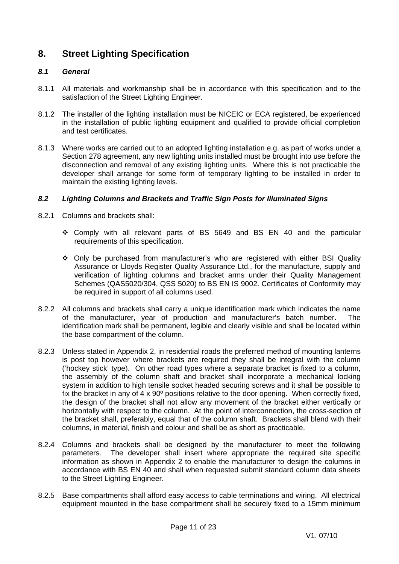### **8. Street Lighting Specification**

### *8.1 General*

- 8.1.1 All materials and workmanship shall be in accordance with this specification and to the satisfaction of the Street Lighting Engineer.
- 8.1.2 The installer of the lighting installation must be NICEIC or ECA registered, be experienced in the installation of public lighting equipment and qualified to provide official completion and test certificates.
- 8.1.3 Where works are carried out to an adopted lighting installation e.g. as part of works under a Section 278 agreement, any new lighting units installed must be brought into use before the disconnection and removal of any existing lighting units. Where this is not practicable the developer shall arrange for some form of temporary lighting to be installed in order to maintain the existing lighting levels.

### *8.2 Lighting Columns and Brackets and Traffic Sign Posts for Illuminated Signs*

- 8.2.1 Columns and brackets shall:
	- Comply with all relevant parts of BS 5649 and BS EN 40 and the particular requirements of this specification.
	- Only be purchased from manufacturer's who are registered with either BSI Quality Assurance or Lloyds Register Quality Assurance Ltd., for the manufacture, supply and verification of lighting columns and bracket arms under their Quality Management Schemes (QAS5020/304, QSS 5020) to BS EN IS 9002. Certificates of Conformity may be required in support of all columns used.
- 8.2.2 All columns and brackets shall carry a unique identification mark which indicates the name of the manufacturer, year of production and manufacturer's batch number. The identification mark shall be permanent, legible and clearly visible and shall be located within the base compartment of the column.
- 8.2.3 Unless stated in Appendix 2, in residential roads the preferred method of mounting lanterns is post top however where brackets are required they shall be integral with the column ('hockey stick' type). On other road types *w*here a separate bracket is fixed to a column, the assembly of the column shaft and bracket shall incorporate a mechanical locking system in addition to high tensile socket headed securing screws and it shall be possible to fix the bracket in any of 4 x 90º positions relative to the door opening. When correctly fixed, the design of the bracket shall not allow any movement of the bracket either vertically or horizontally with respect to the column. At the point of interconnection, the cross-section of the bracket shall, preferably, equal that of the column shaft. Brackets shall blend with their columns, in material, finish and colour and shall be as short as practicable.
- 8.2.4 Columns and brackets shall be designed by the manufacturer to meet the following parameters. The developer shall insert where appropriate the required site specific information as shown in Appendix 2 to enable the manufacturer to design the columns in accordance with BS EN 40 and shall when requested submit standard column data sheets to the Street Lighting Engineer.
- 8.2.5 Base compartments shall afford easy access to cable terminations and wiring. All electrical equipment mounted in the base compartment shall be securely fixed to a 15mm minimum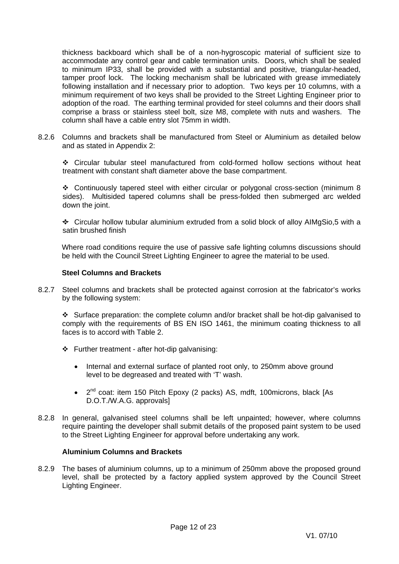thickness backboard which shall be of a non-hygroscopic material of sufficient size to accommodate any control gear and cable termination units. Doors, which shall be sealed to minimum IP33, shall be provided with a substantial and positive, triangular-headed, tamper proof lock. The locking mechanism shall be lubricated with grease immediately following installation and if necessary prior to adoption. Two keys per 10 columns, with a minimum requirement of two keys shall be provided to the Street Lighting Engineer prior to adoption of the road. The earthing terminal provided for steel columns and their doors shall comprise a brass or stainless steel bolt, size M8, complete with nuts and washers. The column shall have a cable entry slot 75mm in width.

8.2.6 Columns and brackets shall be manufactured from Steel or Aluminium as detailed below and as stated in Appendix 2:

 Circular tubular steel manufactured from cold-formed hollow sections without heat treatment with constant shaft diameter above the base compartment.

 Continuously tapered steel with either circular or polygonal cross-section (minimum 8 sides). Multisided tapered columns shall be press-folded then submerged arc welded down the joint.

For Circular hollow tubular aluminium extruded from a solid block of alloy AIMgSio,5 with a satin brushed finish

Where road conditions require the use of passive safe lighting columns discussions should be held with the Council Street Lighting Engineer to agree the material to be used.

### **Steel Columns and Brackets**

8.2.7 Steel columns and brackets shall be protected against corrosion at the fabricator's works by the following system:

 $\div$  Surface preparation: the complete column and/or bracket shall be hot-dip galvanised to comply with the requirements of BS EN ISO 1461, the minimum coating thickness to all faces is to accord with Table 2.

- $\div$  Further treatment after hot-dip galvanising:
	- Internal and external surface of planted root only, to 250mm above ground level to be degreased and treated with 'T' wash.
	- 2<sup>nd</sup> coat: item 150 Pitch Epoxy (2 packs) AS, mdft, 100microns, black [As D.O.T./W.A.G. approvals]
- 8.2.8 In general, galvanised steel columns shall be left unpainted; however, where columns require painting the developer shall submit details of the proposed paint system to be used to the Street Lighting Engineer for approval before undertaking any work.

### **Aluminium Columns and Brackets**

8.2.9 The bases of aluminium columns, up to a minimum of 250mm above the proposed ground level, shall be protected by a factory applied system approved by the Council Street Lighting Engineer.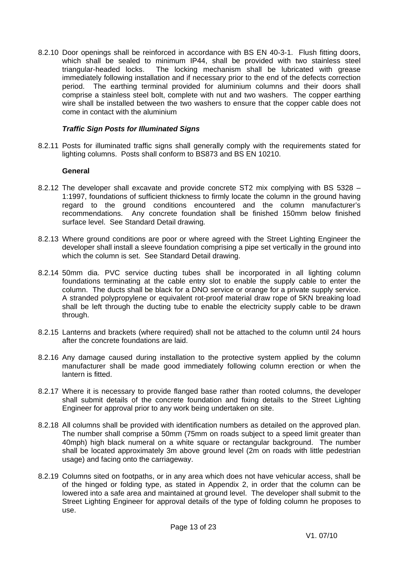8.2.10 Door openings shall be reinforced in accordance with BS EN 40-3-1. Flush fitting doors, which shall be sealed to minimum IP44, shall be provided with two stainless steel triangular-headed locks. The locking mechanism shall be lubricated with grease immediately following installation and if necessary prior to the end of the defects correction period. The earthing terminal provided for aluminium columns and their doors shall comprise a stainless steel bolt, complete with nut and two washers. The copper earthing wire shall be installed between the two washers to ensure that the copper cable does not come in contact with the aluminium

### *Traffic Sign Posts for Illuminated Signs*

8.2.11 Posts for illuminated traffic signs shall generally comply with the requirements stated for lighting columns. Posts shall conform to BS873 and BS EN 10210.

### **General**

- 8.2.12 The developer shall excavate and provide concrete ST2 mix complying with BS 5328 1:1997, foundations of sufficient thickness to firmly locate the column in the ground having regard to the ground conditions encountered and the column manufacturer's recommendations. Any concrete foundation shall be finished 150mm below finished surface level. See Standard Detail drawing*.*
- 8.2.13 Where ground conditions are poor or where agreed with the Street Lighting Engineer the developer shall install a sleeve foundation comprising a pipe set vertically in the ground into which the column is set. See Standard Detail drawing.
- 8.2.14 50mm dia. PVC service ducting tubes shall be incorporated in all lighting column foundations terminating at the cable entry slot to enable the supply cable to enter the column. The ducts shall be black for a DNO service or orange for a private supply service. A stranded polypropylene or equivalent rot-proof material draw rope of 5KN breaking load shall be left through the ducting tube to enable the electricity supply cable to be drawn through.
- 8.2.15 Lanterns and brackets (where required) shall not be attached to the column until 24 hours after the concrete foundations are laid.
- 8.2.16 Any damage caused during installation to the protective system applied by the column manufacturer shall be made good immediately following column erection or when the lantern is fitted.
- 8.2.17 Where it is necessary to provide flanged base rather than rooted columns, the developer shall submit details of the concrete foundation and fixing details to the Street Lighting Engineer for approval prior to any work being undertaken on site.
- 8.2.18 All columns shall be provided with identification numbers as detailed on the approved plan. The number shall comprise a 50mm (75mm on roads subject to a speed limit greater than 40mph) high black numeral on a white square or rectangular background. The number shall be located approximately 3m above ground level (2m on roads with little pedestrian usage) and facing onto the carriageway.
- 8.2.19 Columns sited on footpaths, or in any area which does not have vehicular access, shall be of the hinged or folding type, as stated in Appendix 2, in order that the column can be lowered into a safe area and maintained at ground level. The developer shall submit to the Street Lighting Engineer for approval details of the type of folding column he proposes to use.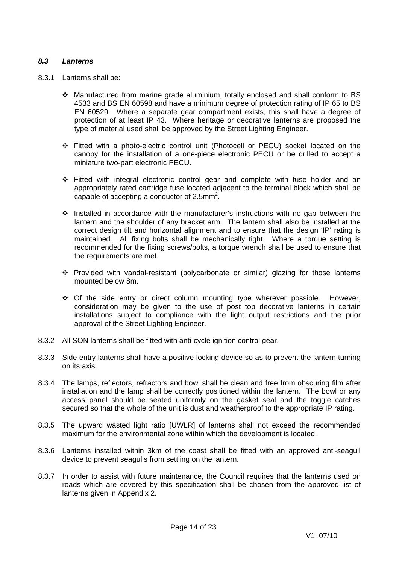### *8.3 Lanterns*

- 8.3.1 Lanterns shall be:
	- Manufactured from marine grade aluminium, totally enclosed and shall conform to BS 4533 and BS EN 60598 and have a minimum degree of protection rating of IP 65 to BS EN 60529. Where a separate gear compartment exists, this shall have a degree of protection of at least IP 43. Where heritage or decorative lanterns are proposed the type of material used shall be approved by the Street Lighting Engineer.
	- Fitted with a photo-electric control unit (Photocell or PECU) socket located on the canopy for the installation of a one-piece electronic PECU or be drilled to accept a miniature two-part electronic PECU.
	- Fitted with integral electronic control gear and complete with fuse holder and an appropriately rated cartridge fuse located adjacent to the terminal block which shall be capable of accepting a conductor of 2.5mm<sup>2</sup>.
	- $\cdot$  Installed in accordance with the manufacturer's instructions with no gap between the lantern and the shoulder of any bracket arm. The lantern shall also be installed at the correct design tilt and horizontal alignment and to ensure that the design 'IP' rating is maintained. All fixing bolts shall be mechanically tight. Where a torque setting is recommended for the fixing screws/bolts, a torque wrench shall be used to ensure that the requirements are met.
	- Provided with vandal-resistant (polycarbonate or similar) glazing for those lanterns mounted below 8m.
	- Of the side entry or direct column mounting type wherever possible. However, consideration may be given to the use of post top decorative lanterns in certain installations subject to compliance with the light output restrictions and the prior approval of the Street Lighting Engineer.
- 8.3.2 All SON lanterns shall be fitted with anti-cycle ignition control gear.
- 8.3.3 Side entry lanterns shall have a positive locking device so as to prevent the lantern turning on its axis.
- 8.3.4 The lamps, reflectors, refractors and bowl shall be clean and free from obscuring film after installation and the lamp shall be correctly positioned within the lantern. The bowl or any access panel should be seated uniformly on the gasket seal and the toggle catches secured so that the whole of the unit is dust and weatherproof to the appropriate IP rating.
- 8.3.5 The upward wasted light ratio [UWLR] of lanterns shall not exceed the recommended maximum for the environmental zone within which the development is located.
- 8.3.6 Lanterns installed within 3km of the coast shall be fitted with an approved anti-seagull device to prevent seagulls from settling on the lantern.
- 8.3.7 In order to assist with future maintenance, the Council requires that the lanterns used on roads which are covered by this specification shall be chosen from the approved list of lanterns given in Appendix 2.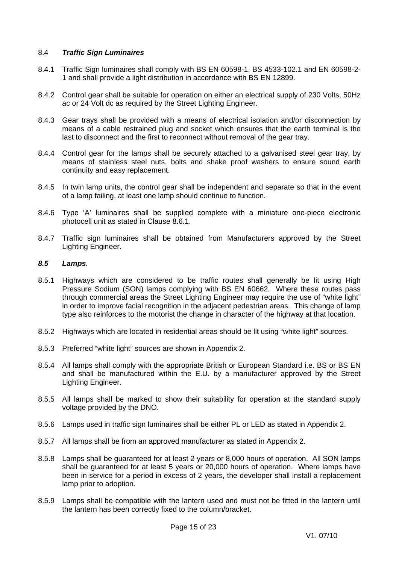### 8.4 *Traffic Sign Luminaires*

- 8.4.1 Traffic Sign luminaires shall comply with BS EN 60598-1, BS 4533-102.1 and EN 60598-2- 1 and shall provide a light distribution in accordance with BS EN 12899.
- 8.4.2 Control gear shall be suitable for operation on either an electrical supply of 230 Volts, 50Hz ac or 24 Volt dc as required by the Street Lighting Engineer.
- 8.4.3 Gear trays shall be provided with a means of electrical isolation and/or disconnection by means of a cable restrained plug and socket which ensures that the earth terminal is the last to disconnect and the first to reconnect without removal of the gear tray.
- 8.4.4 Control gear for the lamps shall be securely attached to a galvanised steel gear tray, by means of stainless steel nuts, bolts and shake proof washers to ensure sound earth continuity and easy replacement.
- 8.4.5 In twin lamp units, the control gear shall be independent and separate so that in the event of a lamp failing, at least one lamp should continue to function.
- 8.4.6 Type 'A' luminaires shall be supplied complete with a miniature one-piece electronic photocell unit as stated in Clause 8.6.1.
- 8.4.7 Traffic sign luminaires shall be obtained from Manufacturers approved by the Street Lighting Engineer.

### *8.5 Lamps.*

- 8.5.1 Highways which are considered to be traffic routes shall generally be lit using High Pressure Sodium (SON) lamps complying with BS EN 60662. Where these routes pass through commercial areas the Street Lighting Engineer may require the use of "white light" in order to improve facial recognition in the adjacent pedestrian areas. This change of lamp type also reinforces to the motorist the change in character of the highway at that location.
- 8.5.2 Highways which are located in residential areas should be lit using "white light" sources.
- 8.5.3 Preferred "white light" sources are shown in Appendix 2.
- 8.5.4 All lamps shall comply with the appropriate British or European Standard i.e. BS or BS EN and shall be manufactured within the E.U. by a manufacturer approved by the Street Lighting Engineer.
- 8.5.5 All lamps shall be marked to show their suitability for operation at the standard supply voltage provided by the DNO.
- 8.5.6 Lamps used in traffic sign luminaires shall be either PL or LED as stated in Appendix 2.
- 8.5.7 All lamps shall be from an approved manufacturer as stated in Appendix 2.
- 8.5.8 Lamps shall be guaranteed for at least 2 years or 8,000 hours of operation. All SON lamps shall be guaranteed for at least 5 years or 20,000 hours of operation. Where lamps have been in service for a period in excess of 2 years, the developer shall install a replacement lamp prior to adoption.
- 8.5.9 Lamps shall be compatible with the lantern used and must not be fitted in the lantern until the lantern has been correctly fixed to the column/bracket.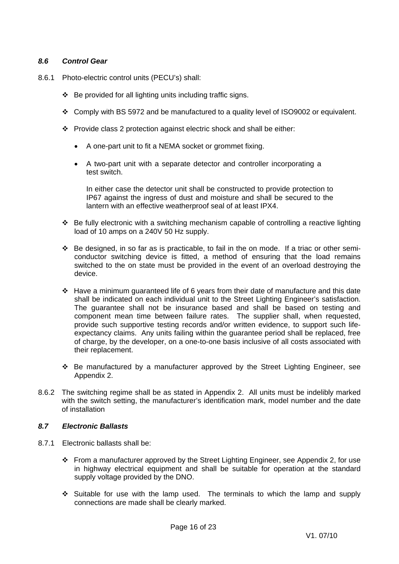### *8.6 Control Gear*

- 8.6.1 Photo-electric control units (PECU's) shall:
	- $\div$  Be provided for all lighting units including traffic signs.
	- Comply with BS 5972 and be manufactured to a quality level of ISO9002 or equivalent.
	- Provide class 2 protection against electric shock and shall be either:
		- A one-part unit to fit a NEMA socket or grommet fixing.
		- A two-part unit with a separate detector and controller incorporating a test switch.

In either case the detector unit shall be constructed to provide protection to IP67 against the ingress of dust and moisture and shall be secured to the lantern with an effective weatherproof seal of at least IPX4.

- Be fully electronic with a switching mechanism capable of controlling a reactive lighting load of 10 amps on a 240V 50 Hz supply.
- $\cdot \cdot$  Be designed, in so far as is practicable, to fail in the on mode. If a triac or other semiconductor switching device is fitted, a method of ensuring that the load remains switched to the on state must be provided in the event of an overload destroying the device.
- Have a minimum guaranteed life of 6 years from their date of manufacture and this date shall be indicated on each individual unit to the Street Lighting Engineer's satisfaction. The guarantee shall not be insurance based and shall be based on testing and component mean time between failure rates. The supplier shall, when requested, provide such supportive testing records and/or written evidence, to support such lifeexpectancy claims. Any units failing within the guarantee period shall be replaced, free of charge, by the developer, on a one-to-one basis inclusive of all costs associated with their replacement.
- Be manufactured by a manufacturer approved by the Street Lighting Engineer, see Appendix 2.
- 8.6.2 The switching regime shall be as stated in Appendix 2.All units must be indelibly marked with the switch setting, the manufacturer's identification mark, model number and the date of installation

### *8.7 Electronic Ballasts*

- 8.7.1 Electronic ballasts shall be:
	- From a manufacturer approved by the Street Lighting Engineer, see Appendix 2, for use in highway electrical equipment and shall be suitable for operation at the standard supply voltage provided by the DNO.
	- Suitable for use with the lamp used. The terminals to which the lamp and supply connections are made shall be clearly marked.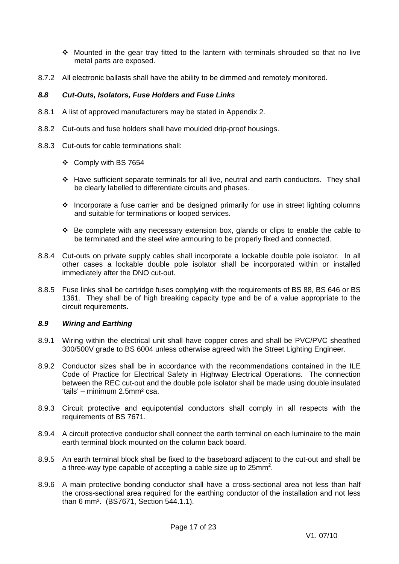- $\div$  Mounted in the gear tray fitted to the lantern with terminals shrouded so that no live metal parts are exposed.
- 8.7.2 All electronic ballasts shall have the ability to be dimmed and remotely monitored.

### *8.8 Cut-Outs, Isolators, Fuse Holders and Fuse Links*

- 8.8.1 A list of approved manufacturers may be stated in Appendix 2.
- 8.8.2 Cut-outs and fuse holders shall have moulded drip-proof housings.
- 8.8.3 Cut-outs for cable terminations shall:
	- Comply with BS 7654
	- Have sufficient separate terminals for all live, neutral and earth conductors. They shall be clearly labelled to differentiate circuits and phases.
	- $\cdot$  Incorporate a fuse carrier and be designed primarily for use in street lighting columns and suitable for terminations or looped services.
	- Be complete with any necessary extension box, glands or clips to enable the cable to be terminated and the steel wire armouring to be properly fixed and connected.
- 8.8.4 Cut-outs on private supply cables shall incorporate a lockable double pole isolator. In all other cases a lockable double pole isolator shall be incorporated within or installed immediately after the DNO cut-out.
- 8.8.5 Fuse links shall be cartridge fuses complying with the requirements of BS 88, BS 646 or BS 1361. They shall be of high breaking capacity type and be of a value appropriate to the circuit requirements.

### *8.9 Wiring and Earthing*

- 8.9.1 Wiring within the electrical unit shall have copper cores and shall be PVC/PVC sheathed 300/500V grade to BS 6004 unless otherwise agreed with the Street Lighting Engineer.
- 8.9.2 Conductor sizes shall be in accordance with the recommendations contained in the ILE Code of Practice for Electrical Safety in Highway Electrical Operations. The connection between the REC cut-out and the double pole isolator shall be made using double insulated 'tails' – minimum 2.5mm² csa.
- 8.9.3 Circuit protective and equipotential conductors shall comply in all respects with the requirements of BS 7671.
- 8.9.4 A circuit protective conductor shall connect the earth terminal on each luminaire to the main earth terminal block mounted on the column back board.
- 8.9.5 An earth terminal block shall be fixed to the baseboard adjacent to the cut-out and shall be a three-way type capable of accepting a cable size up to  $25$ mm<sup>2</sup>.
- 8.9.6 A main protective bonding conductor shall have a cross-sectional area not less than half the cross-sectional area required for the earthing conductor of the installation and not less than 6 mm². (BS7671, Section 544.1.1).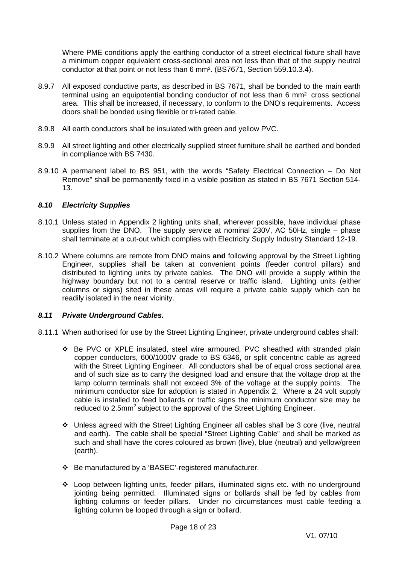Where PME conditions apply the earthing conductor of a street electrical fixture shall have a minimum copper equivalent cross-sectional area not less than that of the supply neutral conductor at that point or not less than 6 mm². (BS7671, Section 559.10.3.4).

- 8.9.7 All exposed conductive parts, as described in BS 7671, shall be bonded to the main earth terminal using an equipotential bonding conductor of not less than 6 mm² cross sectional area. This shall be increased, if necessary, to conform to the DNO's requirements. Access doors shall be bonded using flexible or tri-rated cable.
- 8.9.8 All earth conductors shall be insulated with green and yellow PVC.
- 8.9.9 All street lighting and other electrically supplied street furniture shall be earthed and bonded in compliance with BS 7430.
- 8.9.10 A permanent label to BS 951, with the words "Safety Electrical Connection Do Not Remove" shall be permanently fixed in a visible position as stated in BS 7671 Section 514- 13.

### *8.10 Electricity Supplies*

- 8.10.1 Unless stated in Appendix 2 lighting units shall, wherever possible, have individual phase supplies from the DNO. The supply service at nominal 230V, AC 50Hz, single – phase shall terminate at a cut-out which complies with Electricity Supply Industry Standard 12-19.
- 8.10.2 Where columns are remote from DNO mains **and** following approval by the Street Lighting Engineer, supplies shall be taken at convenient points (feeder control pillars) and distributed to lighting units by private cables. The DNO will provide a supply within the highway boundary but not to a central reserve or traffic island. Lighting units (either columns or signs) sited in these areas will require a private cable supply which can be readily isolated in the near vicinity.

### *8.11 Private Underground Cables.*

- 8.11.1 When authorised for use by the Street Lighting Engineer, private underground cables shall:
	- Be PVC or XPLE insulated, steel wire armoured, PVC sheathed with stranded plain copper conductors, 600/1000V grade to BS 6346, or split concentric cable as agreed with the Street Lighting Engineer. All conductors shall be of equal cross sectional area and of such size as to carry the designed load and ensure that the voltage drop at the lamp column terminals shall not exceed 3% of the voltage at the supply points. The minimum conductor size for adoption is stated in Appendix 2. Where a 24 volt supply cable is installed to feed bollards or traffic signs the minimum conductor size may be reduced to 2.5mm<sup>2</sup> subject to the approval of the Street Lighting Engineer.
	- Unless agreed with the Street Lighting Engineer all cables shall be 3 core (live, neutral and earth). The cable shall be special "Street Lighting Cable" and shall be marked as such and shall have the cores coloured as brown (live), blue (neutral) and yellow/green (earth).
	- Be manufactured by a 'BASEC'-registered manufacturer.
	- Loop between lighting units, feeder pillars, illuminated signs etc. with no underground jointing being permitted. Illuminated signs or bollards shall be fed by cables from lighting columns or feeder pillars. Under no circumstances must cable feeding a lighting column be looped through a sign or bollard.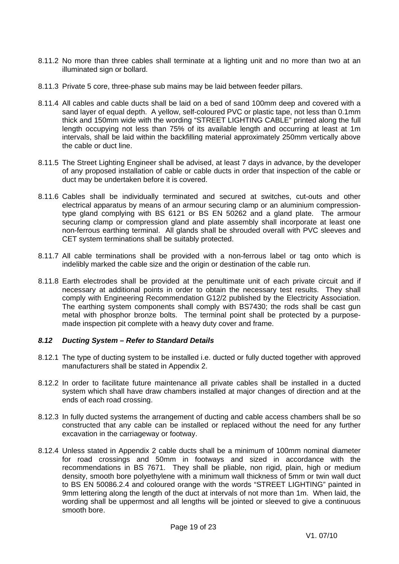- 8.11.2 No more than three cables shall terminate at a lighting unit and no more than two at an illuminated sign or bollard.
- 8.11.3 Private 5 core, three-phase sub mains may be laid between feeder pillars.
- 8.11.4 All cables and cable ducts shall be laid on a bed of sand 100mm deep and covered with a sand layer of equal depth. A yellow, self-coloured PVC or plastic tape, not less than 0.1mm thick and 150mm wide with the wording "STREET LIGHTING CABLE" printed along the full length occupying not less than 75% of its available length and occurring at least at 1m intervals, shall be laid within the backfilling material approximately 250mm vertically above the cable or duct line.
- 8.11.5 The Street Lighting Engineer shall be advised, at least 7 days in advance, by the developer of any proposed installation of cable or cable ducts in order that inspection of the cable or duct may be undertaken before it is covered.
- 8.11.6 Cables shall be individually terminated and secured at switches, cut-outs and other electrical apparatus by means of an armour securing clamp or an aluminium compressiontype gland complying with BS 6121 or BS EN 50262 and a gland plate. The armour securing clamp or compression gland and plate assembly shall incorporate at least one non-ferrous earthing terminal. All glands shall be shrouded overall with PVC sleeves and CET system terminations shall be suitably protected.
- 8.11.7 All cable terminations shall be provided with a non-ferrous label or tag onto which is indelibly marked the cable size and the origin or destination of the cable run.
- 8.11.8 Earth electrodes shall be provided at the penultimate unit of each private circuit and if necessary at additional points in order to obtain the necessary test results. They shall comply with Engineering Recommendation G12/2 published by the Electricity Association. The earthing system components shall comply with BS7430; the rods shall be cast gun metal with phosphor bronze bolts. The terminal point shall be protected by a purposemade inspection pit complete with a heavy duty cover and frame.

### *8.12 Ducting System – Refer to Standard Details*

- 8.12.1 The type of ducting system to be installed i.e. ducted or fully ducted together with approved manufacturers shall be stated in Appendix 2.
- 8.12.2 In order to facilitate future maintenance all private cables shall be installed in a ducted system which shall have draw chambers installed at major changes of direction and at the ends of each road crossing.
- 8.12.3 In fully ducted systems the arrangement of ducting and cable access chambers shall be so constructed that any cable can be installed or replaced without the need for any further excavation in the carriageway or footway.
- 8.12.4 Unless stated in Appendix 2 cable ducts shall be a minimum of 100mm nominal diameter for road crossings and 50mm in footways and sized in accordance with the recommendations in BS 7671. They shall be pliable, non rigid, plain, high or medium density, smooth bore polyethylene with a minimum wall thickness of 5mm or twin wall duct to BS EN 50086.2.4 and coloured orange with the words "STREET LIGHTING" painted in 9mm lettering along the length of the duct at intervals of not more than 1m. When laid, the wording shall be uppermost and all lengths will be jointed or sleeved to give a continuous smooth bore.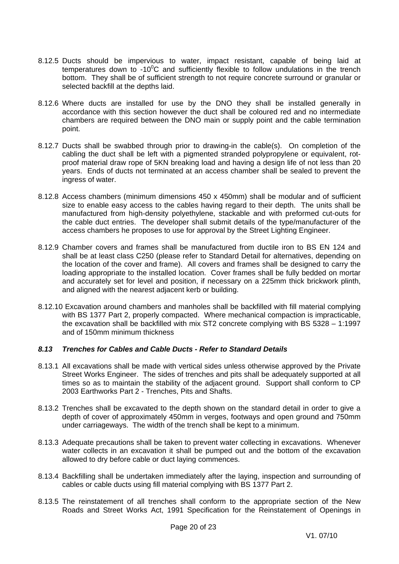- 8.12.5 Ducts should be impervious to water, impact resistant, capable of being laid at temperatures down to -10 $\mathrm{^{0}C}$  and sufficiently flexible to follow undulations in the trench bottom. They shall be of sufficient strength to not require concrete surround or granular or selected backfill at the depths laid.
- 8.12.6 Where ducts are installed for use by the DNO they shall be installed generally in accordance with this section however the duct shall be coloured red and no intermediate chambers are required between the DNO main or supply point and the cable termination point.
- 8.12.7 Ducts shall be swabbed through prior to drawing-in the cable(s). On completion of the cabling the duct shall be left with a pigmented stranded polypropylene or equivalent, rotproof material draw rope of 5KN breaking load and having a design life of not less than 20 years. Ends of ducts not terminated at an access chamber shall be sealed to prevent the ingress of water.
- 8.12.8 Access chambers (minimum dimensions 450 x 450mm) shall be modular and of sufficient size to enable easy access to the cables having regard to their depth. The units shall be manufactured from high-density polyethylene, stackable and with preformed cut-outs for the cable duct entries. The developer shall submit details of the type/manufacturer of the access chambers he proposes to use for approval by the Street Lighting Engineer.
- 8.12.9 Chamber covers and frames shall be manufactured from ductile iron to BS EN 124 and shall be at least class C250 (please refer to Standard Detail for alternatives, depending on the location of the cover and frame). All covers and frames shall be designed to carry the loading appropriate to the installed location. Cover frames shall be fully bedded on mortar and accurately set for level and position, if necessary on a 225mm thick brickwork plinth, and aligned with the nearest adjacent kerb or building.
- 8.12.10 Excavation around chambers and manholes shall be backfilled with fill material complying with BS 1377 Part 2, properly compacted. Where mechanical compaction is impracticable, the excavation shall be backfilled with mix ST2 concrete complying with BS 5328 – 1:1997 and of 150mm minimum thickness

### *8.13 Trenches for Cables and Cable Ducts - Refer to Standard Details*

- 8.13.1 All excavations shall be made with vertical sides unless otherwise approved by the Private Street Works Engineer. The sides of trenches and pits shall be adequately supported at all times so as to maintain the stability of the adjacent ground. Support shall conform to CP 2003 Earthworks Part 2 - Trenches, Pits and Shafts.
- 8.13.2 Trenches shall be excavated to the depth shown on the standard detail in order to give a depth of cover of approximately 450mm in verges, footways and open ground and 750mm under carriageways. The width of the trench shall be kept to a minimum.
- 8.13.3 Adequate precautions shall be taken to prevent water collecting in excavations. Whenever water collects in an excavation it shall be pumped out and the bottom of the excavation allowed to dry before cable or duct laying commences.
- 8.13.4 Backfilling shall be undertaken immediately after the laying, inspection and surrounding of cables or cable ducts using fill material complying with BS 1377 Part 2.
- 8.13.5 The reinstatement of all trenches shall conform to the appropriate section of the New Roads and Street Works Act, 1991 Specification for the Reinstatement of Openings in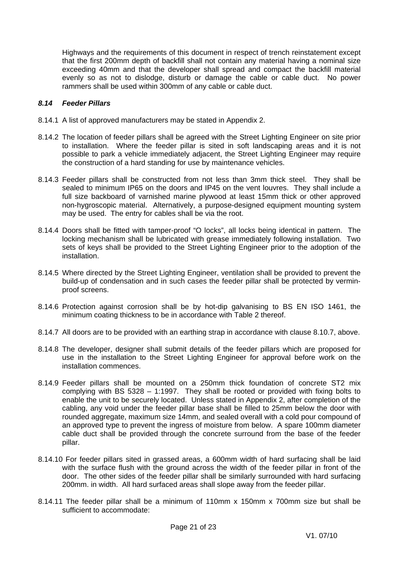Highways and the requirements of this document in respect of trench reinstatement except that the first 200mm depth of backfill shall not contain any material having a nominal size exceeding 40mm and that the developer shall spread and compact the backfill material evenly so as not to dislodge, disturb or damage the cable or cable duct. No power rammers shall be used within 300mm of any cable or cable duct.

### *8.14 Feeder Pillars*

- 8.14.1 A list of approved manufacturers may be stated in Appendix 2.
- 8.14.2 The location of feeder pillars shall be agreed with the Street Lighting Engineer on site prior to installation. Where the feeder pillar is sited in soft landscaping areas and it is not possible to park a vehicle immediately adjacent, the Street Lighting Engineer may require the construction of a hard standing for use by maintenance vehicles.
- 8.14.3 Feeder pillars shall be constructed from not less than 3mm thick steel. They shall be sealed to minimum IP65 on the doors and IP45 on the vent louvres. They shall include a full size backboard of varnished marine plywood at least 15mm thick or other approved non-hygroscopic material. Alternatively, a purpose-designed equipment mounting system may be used. The entry for cables shall be via the root.
- 8.14.4 Doors shall be fitted with tamper-proof "O locks", all locks being identical in pattern. The locking mechanism shall be lubricated with grease immediately following installation. Two sets of keys shall be provided to the Street Lighting Engineer prior to the adoption of the installation.
- 8.14.5 Where directed by the Street Lighting Engineer, ventilation shall be provided to prevent the build-up of condensation and in such cases the feeder pillar shall be protected by verminproof screens.
- 8.14.6 Protection against corrosion shall be by hot-dip galvanising to BS EN ISO 1461, the minimum coating thickness to be in accordance with Table 2 thereof.
- 8.14.7 All doors are to be provided with an earthing strap in accordance with clause 8.10.7, above.
- 8.14.8 The developer, designer shall submit details of the feeder pillars which are proposed for use in the installation to the Street Lighting Engineer for approval before work on the installation commences.
- 8.14.9 Feeder pillars shall be mounted on a 250mm thick foundation of concrete ST2 mix complying with BS 5328 – 1:1997. They shall be rooted or provided with fixing bolts to enable the unit to be securely located. Unless stated in Appendix 2, after completion of the cabling, any void under the feeder pillar base shall be filled to 25mm below the door with rounded aggregate, maximum size 14mm, and sealed overall with a cold pour compound of an approved type to prevent the ingress of moisture from below. A spare 100mm diameter cable duct shall be provided through the concrete surround from the base of the feeder pillar.
- 8.14.10 For feeder pillars sited in grassed areas, a 600mm width of hard surfacing shall be laid with the surface flush with the ground across the width of the feeder pillar in front of the door. The other sides of the feeder pillar shall be similarly surrounded with hard surfacing 200mm. in width. All hard surfaced areas shall slope away from the feeder pillar.
- 8.14.11 The feeder pillar shall be a minimum of 110mm x 150mm x 700mm size but shall be sufficient to accommodate: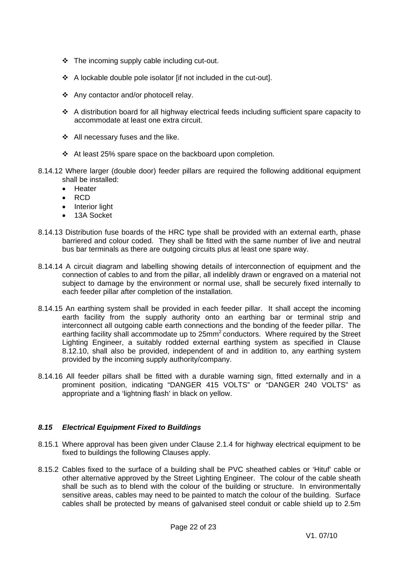- $\div$  The incoming supply cable including cut-out.
- A lockable double pole isolator [if not included in the cut-out].
- Any contactor and/or photocell relay.
- A distribution board for all highway electrical feeds including sufficient spare capacity to accommodate at least one extra circuit.
- ❖ All necessary fuses and the like.
- $\div$  At least 25% spare space on the backboard upon completion.
- 8.14.12 Where larger (double door) feeder pillars are required the following additional equipment shall be installed:
	- Heater
	- $\cdot$  RCD
	- Interior light
	- 13A Socket
- 8.14.13 Distribution fuse boards of the HRC type shall be provided with an external earth, phase barriered and colour coded. They shall be fitted with the same number of live and neutral bus bar terminals as there are outgoing circuits plus at least one spare way.
- 8.14.14 A circuit diagram and labelling showing details of interconnection of equipment and the connection of cables to and from the pillar, all indelibly drawn or engraved on a material not subject to damage by the environment or normal use, shall be securely fixed internally to each feeder pillar after completion of the installation.
- 8.14.15 An earthing system shall be provided in each feeder pillar. It shall accept the incoming earth facility from the supply authority onto an earthing bar or terminal strip and interconnect all outgoing cable earth connections and the bonding of the feeder pillar. The earthing facility shall accommodate up to 25mm<sup>2</sup> conductors. Where required by the Street Lighting Engineer, a suitably rodded external earthing system as specified in Clause 8.12.10, shall also be provided, independent of and in addition to, any earthing system provided by the incoming supply authority/company.
- 8.14.16 All feeder pillars shall be fitted with a durable warning sign, fitted externally and in a prominent position, indicating "DANGER 415 VOLTS" or "DANGER 240 VOLTS" as appropriate and a 'lightning flash' in black on yellow.

### *8.15 Electrical Equipment Fixed to Buildings*

- 8.15.1 Where approval has been given under Clause 2.1.4 for highway electrical equipment to be fixed to buildings the following Clauses apply.
- 8.15.2 Cables fixed to the surface of a building shall be PVC sheathed cables or 'Hituf' cable or other alternative approved by the Street Lighting Engineer. The colour of the cable sheath shall be such as to blend with the colour of the building or structure. In environmentally sensitive areas, cables may need to be painted to match the colour of the building. Surface cables shall be protected by means of galvanised steel conduit or cable shield up to 2.5m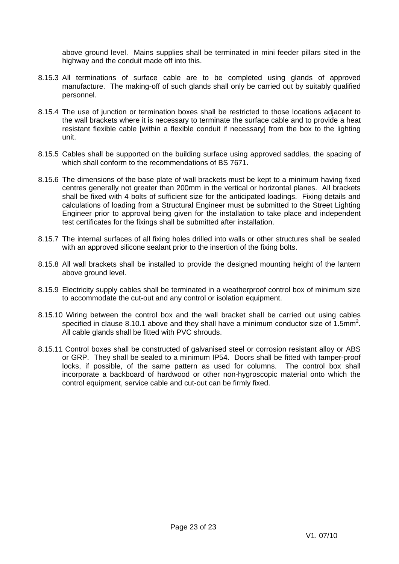above ground level. Mains supplies shall be terminated in mini feeder pillars sited in the highway and the conduit made off into this.

- 8.15.3 All terminations of surface cable are to be completed using glands of approved manufacture. The making-off of such glands shall only be carried out by suitably qualified personnel.
- 8.15.4 The use of junction or termination boxes shall be restricted to those locations adjacent to the wall brackets where it is necessary to terminate the surface cable and to provide a heat resistant flexible cable [within a flexible conduit if necessary] from the box to the lighting unit.
- 8.15.5 Cables shall be supported on the building surface using approved saddles, the spacing of which shall conform to the recommendations of BS 7671.
- 8.15.6 The dimensions of the base plate of wall brackets must be kept to a minimum having fixed centres generally not greater than 200mm in the vertical or horizontal planes. All brackets shall be fixed with 4 bolts of sufficient size for the anticipated loadings. Fixing details and calculations of loading from a Structural Engineer must be submitted to the Street Lighting Engineer prior to approval being given for the installation to take place and independent test certificates for the fixings shall be submitted after installation.
- 8.15.7 The internal surfaces of all fixing holes drilled into walls or other structures shall be sealed with an approved silicone sealant prior to the insertion of the fixing bolts.
- 8.15.8 All wall brackets shall be installed to provide the designed mounting height of the lantern above ground level.
- 8.15.9 Electricity supply cables shall be terminated in a weatherproof control box of minimum size to accommodate the cut-out and any control or isolation equipment.
- 8.15.10 Wiring between the control box and the wall bracket shall be carried out using cables specified in clause 8.10.1 above and they shall have a minimum conductor size of 1.5mm<sup>2</sup>. All cable glands shall be fitted with PVC shrouds.
- 8.15.11 Control boxes shall be constructed of galvanised steel or corrosion resistant alloy or ABS or GRP. They shall be sealed to a minimum IP54. Doors shall be fitted with tamper-proof locks, if possible, of the same pattern as used for columns. The control box shall incorporate a backboard of hardwood or other non-hygroscopic material onto which the control equipment, service cable and cut-out can be firmly fixed.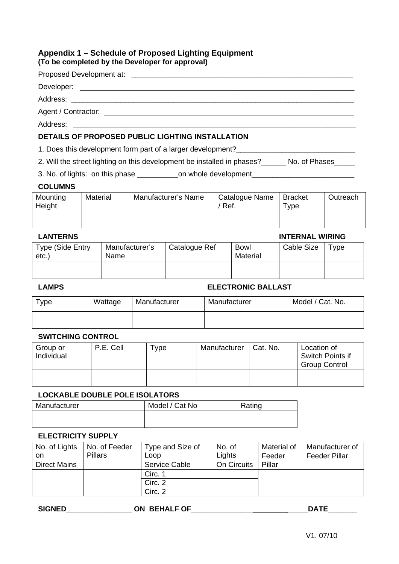### **Appendix 1 – Schedule of Proposed Lighting Equipment (To be completed by the Developer for approval)**

| Developer:<br><u> 1989 - John Stone, Amerikaansk politiker (* 1918)</u> |  |
|-------------------------------------------------------------------------|--|
|                                                                         |  |
|                                                                         |  |

Address:

### **DETAILS OF PROPOSED PUBLIC LIGHTING INSTALLATION**

1. Does this development form part of a larger development?

2. Will the street lighting on this development be installed in phases?\_\_\_\_\_\_ No. of Phases\_\_\_\_\_

3. No. of lights: on this phase \_\_\_\_\_\_\_\_\_\_\_\_on whole development\_\_\_\_\_\_\_\_\_\_\_\_\_\_\_\_

### **COLUMNS**

| Mounting<br>Height | Material | Manufacturer's Name | Catalogue Name<br>′ Ref. | Bracket<br>$\tau_{\texttt{VDE}}$ | Outreach |
|--------------------|----------|---------------------|--------------------------|----------------------------------|----------|
|                    |          |                     |                          |                                  |          |

### **LANTERNS INTERNAL WIRING**  Type (Side Entry etc.) Manufacturer's Name Catalogue Ref | Bowl Material Cable Size Type

### **LAMPS ELECTRONIC BALLAST**

| Type | Wattage | Manufacturer | Manufacturer | Model / Cat. No. |
|------|---------|--------------|--------------|------------------|
|      |         |              |              |                  |

### **SWITCHING CONTROL**

| Group or<br>Individual | P.E. Cell | Type | Manufacturer | Cat. No. | Location of<br>Switch Points if<br><b>Group Control</b> |
|------------------------|-----------|------|--------------|----------|---------------------------------------------------------|
|                        |           |      |              |          |                                                         |

### **LOCKABLE DOUBLE POLE ISOLATORS**

| Manufacturer | Model / Cat No | Rating |
|--------------|----------------|--------|
|              |                |        |

### **ELECTRICITY SUPPLY**

| No. of Lights<br>on<br><b>Direct Mains</b> | No. of Feeder<br><b>Pillars</b> | Type and Size of<br>Loop<br>Service Cable | No. of<br>Lights<br>On Circuits | Material of<br>Feeder<br>Pillar | Manufacturer of<br><b>Feeder Pillar</b> |
|--------------------------------------------|---------------------------------|-------------------------------------------|---------------------------------|---------------------------------|-----------------------------------------|
|                                            |                                 | Circ. 1                                   |                                 |                                 |                                         |
|                                            |                                 | Circ. 2                                   |                                 |                                 |                                         |
|                                            |                                 | Circ. 2                                   |                                 |                                 |                                         |

| <b>SIGNED</b> | -.<br>ΟN<br>ີ | יי י |
|---------------|---------------|------|
| .<br>---      | _             | ---  |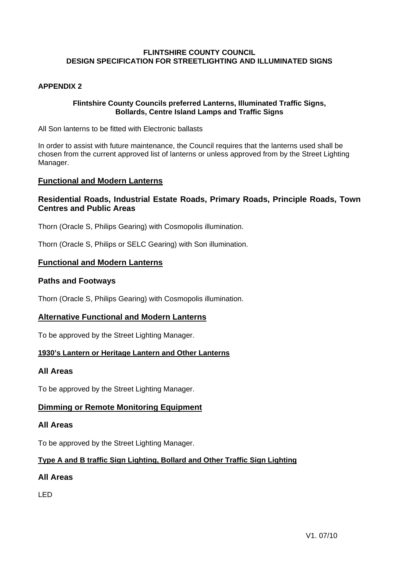### **APPENDIX 2**

### **Flintshire County Councils preferred Lanterns, Illuminated Traffic Signs, Bollards, Centre Island Lamps and Traffic Signs**

All Son lanterns to be fitted with Electronic ballasts

In order to assist with future maintenance, the Council requires that the lanterns used shall be chosen from the current approved list of lanterns or unless approved from by the Street Lighting Manager.

### **Functional and Modern Lanterns**

### **Residential Roads, Industrial Estate Roads, Primary Roads, Principle Roads, Town Centres and Public Areas**

Thorn (Oracle S, Philips Gearing) with Cosmopolis illumination.

Thorn (Oracle S, Philips or SELC Gearing) with Son illumination.

### **Functional and Modern Lanterns**

### **Paths and Footways**

Thorn (Oracle S, Philips Gearing) with Cosmopolis illumination.

### **Alternative Functional and Modern Lanterns**

To be approved by the Street Lighting Manager.

### **1930's Lantern or Heritage Lantern and Other Lanterns**

### **All Areas**

To be approved by the Street Lighting Manager.

### **Dimming or Remote Monitoring Equipment**

### **All Areas**

To be approved by the Street Lighting Manager.

### **Type A and B traffic Sign Lighting, Bollard and Other Traffic Sign Lighting**

### **All Areas**

LED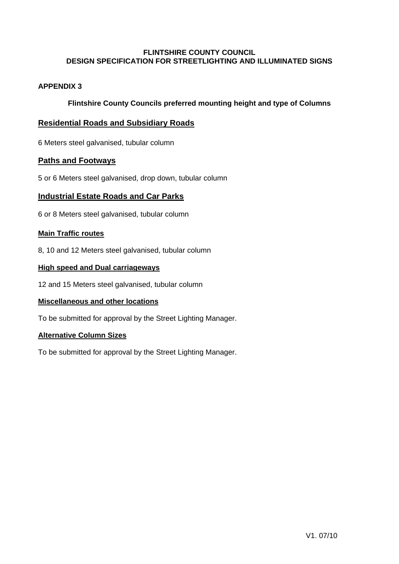### **APPENDIX 3**

### **Flintshire County Councils preferred mounting height and type of Columns**

### **Residential Roads and Subsidiary Roads**

6 Meters steel galvanised, tubular column

### **Paths and Footways**

5 or 6 Meters steel galvanised, drop down, tubular column

### **Industrial Estate Roads and Car Parks**

6 or 8 Meters steel galvanised, tubular column

### **Main Traffic routes**

8, 10 and 12 Meters steel galvanised, tubular column

### **High speed and Dual carriageways**

12 and 15 Meters steel galvanised, tubular column

### **Miscellaneous and other locations**

To be submitted for approval by the Street Lighting Manager.

### **Alternative Column Sizes**

To be submitted for approval by the Street Lighting Manager.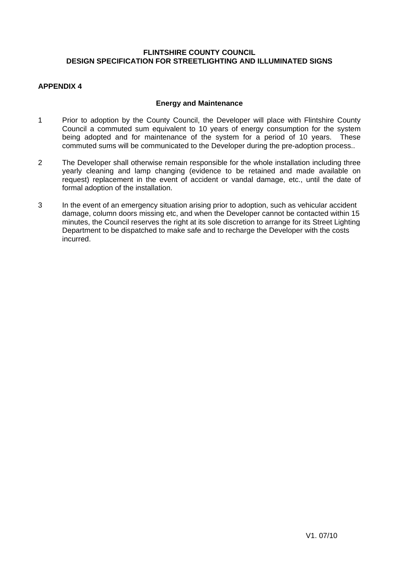### **APPENDIX 4**

### **Energy and Maintenance**

- 1 Prior to adoption by the County Council, the Developer will place with Flintshire County Council a commuted sum equivalent to 10 years of energy consumption for the system being adopted and for maintenance of the system for a period of 10 years. These commuted sums will be communicated to the Developer during the pre-adoption process..
- 2 The Developer shall otherwise remain responsible for the whole installation including three yearly cleaning and lamp changing (evidence to be retained and made available on request) replacement in the event of accident or vandal damage, etc., until the date of formal adoption of the installation.
- 3 In the event of an emergency situation arising prior to adoption, such as vehicular accident damage, column doors missing etc, and when the Developer cannot be contacted within 15 minutes, the Council reserves the right at its sole discretion to arrange for its Street Lighting Department to be dispatched to make safe and to recharge the Developer with the costs incurred.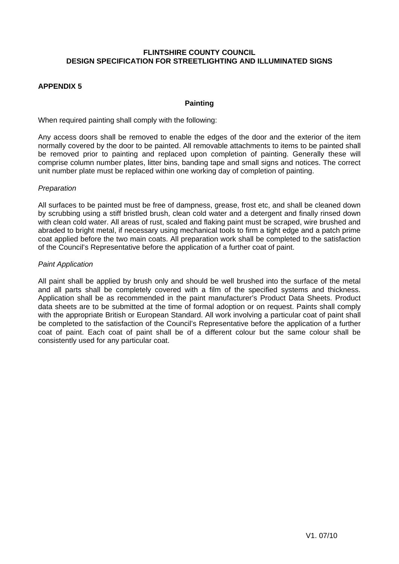### **APPENDIX 5**

### **Painting**

When required painting shall comply with the following:

Any access doors shall be removed to enable the edges of the door and the exterior of the item normally covered by the door to be painted. All removable attachments to items to be painted shall be removed prior to painting and replaced upon completion of painting. Generally these will comprise column number plates, litter bins, banding tape and small signs and notices. The correct unit number plate must be replaced within one working day of completion of painting.

### *Preparation*

All surfaces to be painted must be free of dampness, grease, frost etc, and shall be cleaned down by scrubbing using a stiff bristled brush, clean cold water and a detergent and finally rinsed down with clean cold water. All areas of rust, scaled and flaking paint must be scraped, wire brushed and abraded to bright metal, if necessary using mechanical tools to firm a tight edge and a patch prime coat applied before the two main coats. All preparation work shall be completed to the satisfaction of the Council's Representative before the application of a further coat of paint.

### *Paint Application*

All paint shall be applied by brush only and should be well brushed into the surface of the metal and all parts shall be completely covered with a film of the specified systems and thickness. Application shall be as recommended in the paint manufacturer's Product Data Sheets. Product data sheets are to be submitted at the time of formal adoption or on request. Paints shall comply with the appropriate British or European Standard. All work involving a particular coat of paint shall be completed to the satisfaction of the Council's Representative before the application of a further coat of paint. Each coat of paint shall be of a different colour but the same colour shall be consistently used for any particular coat.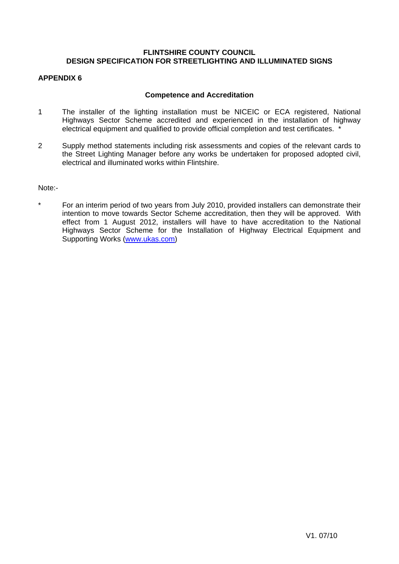### **APPENDIX 6**

### **Competence and Accreditation**

- 1 The installer of the lighting installation must be NICEIC or ECA registered, National Highways Sector Scheme accredited and experienced in the installation of highway electrical equipment and qualified to provide official completion and test certificates.
- 2 Supply method statements including risk assessments and copies of the relevant cards to the Street Lighting Manager before any works be undertaken for proposed adopted civil, electrical and illuminated works within Flintshire.

Note:-

\* For an interim period of two years from July 2010, provided installers can demonstrate their intention to move towards Sector Scheme accreditation, then they will be approved. With effect from 1 August 2012, installers will have to have accreditation to the National Highways Sector Scheme for the Installation of Highway Electrical Equipment and Supporting Works (www.ukas.com)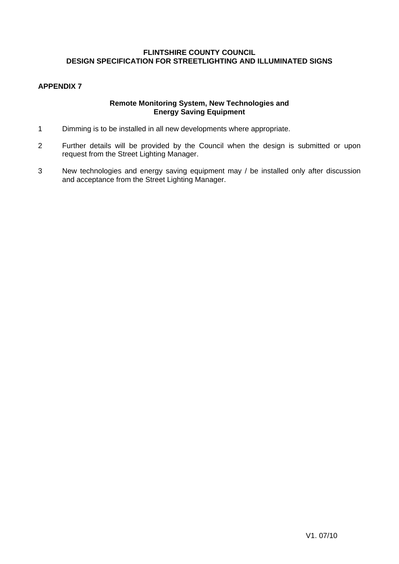### **APPENDIX 7**

### **Remote Monitoring System, New Technologies and Energy Saving Equipment**

- 1 Dimming is to be installed in all new developments where appropriate.
- 2 Further details will be provided by the Council when the design is submitted or upon request from the Street Lighting Manager.
- 3 New technologies and energy saving equipment may / be installed only after discussion and acceptance from the Street Lighting Manager.